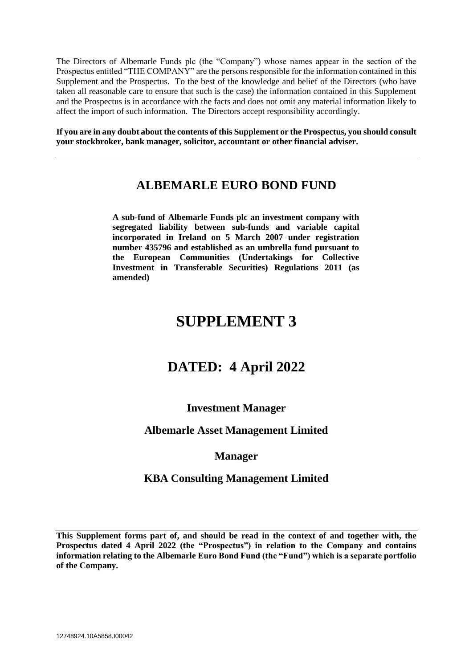The Directors of Albemarle Funds plc (the "Company") whose names appear in the section of the Prospectus entitled "THE COMPANY" are the persons responsible for the information contained in this Supplement and the Prospectus. To the best of the knowledge and belief of the Directors (who have taken all reasonable care to ensure that such is the case) the information contained in this Supplement and the Prospectus is in accordance with the facts and does not omit any material information likely to affect the import of such information. The Directors accept responsibility accordingly.

**If you are in any doubt about the contents of this Supplement or the Prospectus, you should consult your stockbroker, bank manager, solicitor, accountant or other financial adviser.**

# **ALBEMARLE EURO BOND FUND**

**A sub-fund of Albemarle Funds plc an investment company with segregated liability between sub-funds and variable capital incorporated in Ireland on 5 March 2007 under registration number 435796 and established as an umbrella fund pursuant to the European Communities (Undertakings for Collective Investment in Transferable Securities) Regulations 2011 (as amended)**

# **SUPPLEMENT 3**

# **DATED: 4 April 2022**

# **Investment Manager**

# **Albemarle Asset Management Limited**

# **Manager**

# **KBA Consulting Management Limited**

**This Supplement forms part of, and should be read in the context of and together with, the Prospectus dated 4 April 2022 (the "Prospectus") in relation to the Company and contains information relating to the Albemarle Euro Bond Fund (the "Fund") which is a separate portfolio of the Company.**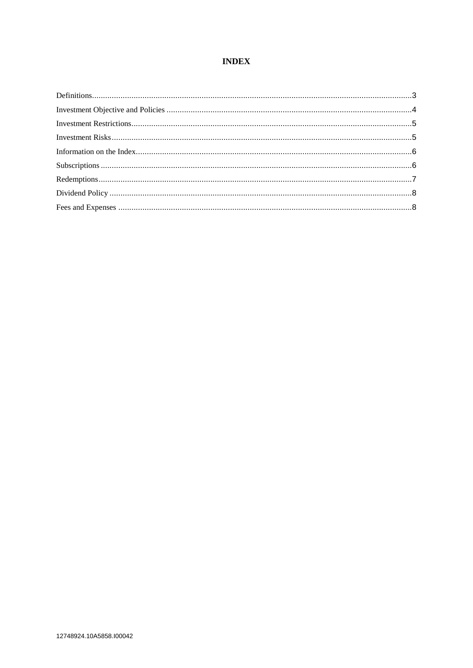## **INDEX**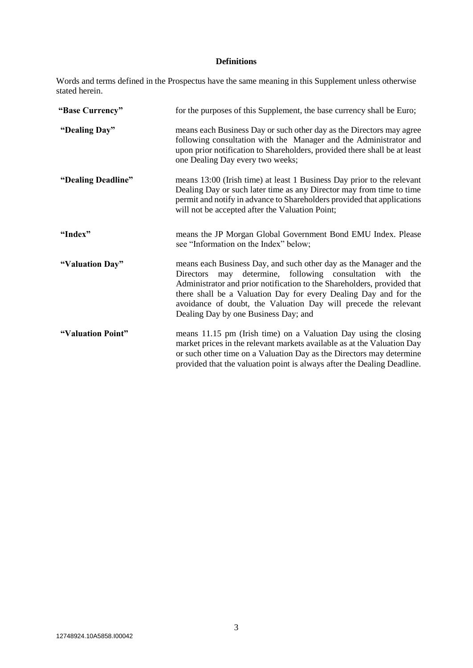## **Definitions**

Words and terms defined in the Prospectus have the same meaning in this Supplement unless otherwise stated herein.

| "Base Currency"    | for the purposes of this Supplement, the base currency shall be Euro;<br>means each Business Day or such other day as the Directors may agree<br>following consultation with the Manager and the Administrator and<br>upon prior notification to Shareholders, provided there shall be at least<br>one Dealing Day every two weeks;                                                                      |  |  |  |
|--------------------|----------------------------------------------------------------------------------------------------------------------------------------------------------------------------------------------------------------------------------------------------------------------------------------------------------------------------------------------------------------------------------------------------------|--|--|--|
| "Dealing Day"      |                                                                                                                                                                                                                                                                                                                                                                                                          |  |  |  |
| "Dealing Deadline" | means 13:00 (Irish time) at least 1 Business Day prior to the relevant<br>Dealing Day or such later time as any Director may from time to time<br>permit and notify in advance to Shareholders provided that applications<br>will not be accepted after the Valuation Point;                                                                                                                             |  |  |  |
| "Index"            | means the JP Morgan Global Government Bond EMU Index. Please<br>see "Information on the Index" below;                                                                                                                                                                                                                                                                                                    |  |  |  |
| "Valuation Day"    | means each Business Day, and such other day as the Manager and the<br>determine, following consultation<br><b>Directors</b><br>may<br>with the<br>Administrator and prior notification to the Shareholders, provided that<br>there shall be a Valuation Day for every Dealing Day and for the<br>avoidance of doubt, the Valuation Day will precede the relevant<br>Dealing Day by one Business Day; and |  |  |  |
| "Valuation Point"  | means 11.15 pm (Irish time) on a Valuation Day using the closing<br>market prices in the relevant markets available as at the Valuation Day<br>or such other time on a Valuation Day as the Directors may determine<br>provided that the valuation point is always after the Dealing Deadline.                                                                                                           |  |  |  |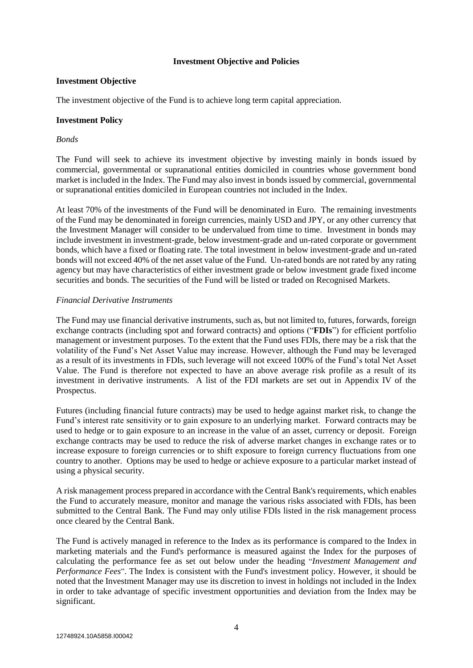## **Investment Objective and Policies**

## **Investment Objective**

The investment objective of the Fund is to achieve long term capital appreciation.

## **Investment Policy**

## *Bonds*

The Fund will seek to achieve its investment objective by investing mainly in bonds issued by commercial, governmental or supranational entities domiciled in countries whose government bond market is included in the Index. The Fund may also invest in bonds issued by commercial, governmental or supranational entities domiciled in European countries not included in the Index.

At least 70% of the investments of the Fund will be denominated in Euro. The remaining investments of the Fund may be denominated in foreign currencies, mainly USD and JPY, or any other currency that the Investment Manager will consider to be undervalued from time to time. Investment in bonds may include investment in investment-grade, below investment-grade and un-rated corporate or government bonds, which have a fixed or floating rate. The total investment in below investment-grade and un-rated bonds will not exceed 40% of the net asset value of the Fund. Un-rated bonds are not rated by any rating agency but may have characteristics of either investment grade or below investment grade fixed income securities and bonds. The securities of the Fund will be listed or traded on Recognised Markets.

## *Financial Derivative Instruments*

The Fund may use financial derivative instruments, such as, but not limited to, futures, forwards, foreign exchange contracts (including spot and forward contracts) and options ("**FDIs**") for efficient portfolio management or investment purposes. To the extent that the Fund uses FDIs, there may be a risk that the volatility of the Fund's Net Asset Value may increase. However, although the Fund may be leveraged as a result of its investments in FDIs, such leverage will not exceed 100% of the Fund's total Net Asset Value. The Fund is therefore not expected to have an above average risk profile as a result of its investment in derivative instruments. A list of the FDI markets are set out in Appendix IV of the Prospectus.

Futures (including financial future contracts) may be used to hedge against market risk, to change the Fund's interest rate sensitivity or to gain exposure to an underlying market. Forward contracts may be used to hedge or to gain exposure to an increase in the value of an asset, currency or deposit. Foreign exchange contracts may be used to reduce the risk of adverse market changes in exchange rates or to increase exposure to foreign currencies or to shift exposure to foreign currency fluctuations from one country to another. Options may be used to hedge or achieve exposure to a particular market instead of using a physical security.

A risk management process prepared in accordance with the Central Bank's requirements, which enables the Fund to accurately measure, monitor and manage the various risks associated with FDIs, has been submitted to the Central Bank. The Fund may only utilise FDIs listed in the risk management process once cleared by the Central Bank.

The Fund is actively managed in reference to the Index as its performance is compared to the Index in marketing materials and the Fund's performance is measured against the Index for the purposes of calculating the performance fee as set out below under the heading "*Investment Management and Performance Fees*". The Index is consistent with the Fund's investment policy. However, it should be noted that the Investment Manager may use its discretion to invest in holdings not included in the Index in order to take advantage of specific investment opportunities and deviation from the Index may be significant.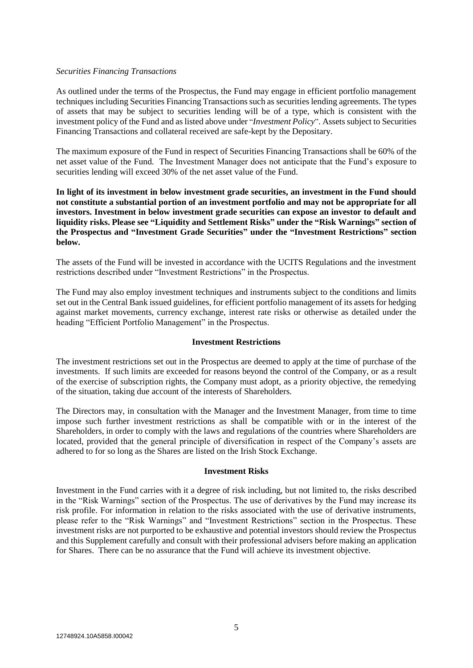## *Securities Financing Transactions*

As outlined under the terms of the Prospectus, the Fund may engage in efficient portfolio management techniques including Securities Financing Transactions such as securities lending agreements. The types of assets that may be subject to securities lending will be of a type, which is consistent with the investment policy of the Fund and as listed above under "*Investment Policy*". Assets subject to Securities Financing Transactions and collateral received are safe-kept by the Depositary.

The maximum exposure of the Fund in respect of Securities Financing Transactions shall be 60% of the net asset value of the Fund. The Investment Manager does not anticipate that the Fund's exposure to securities lending will exceed 30% of the net asset value of the Fund.

**In light of its investment in below investment grade securities, an investment in the Fund should not constitute a substantial portion of an investment portfolio and may not be appropriate for all investors. Investment in below investment grade securities can expose an investor to default and liquidity risks. Please see "Liquidity and Settlement Risks" under the "Risk Warnings" section of the Prospectus and "Investment Grade Securities" under the "Investment Restrictions" section below.** 

The assets of the Fund will be invested in accordance with the UCITS Regulations and the investment restrictions described under "Investment Restrictions" in the Prospectus.

The Fund may also employ investment techniques and instruments subject to the conditions and limits set out in the Central Bank issued guidelines, for efficient portfolio management of its assets for hedging against market movements, currency exchange, interest rate risks or otherwise as detailed under the heading "Efficient Portfolio Management" in the Prospectus.

## **Investment Restrictions**

The investment restrictions set out in the Prospectus are deemed to apply at the time of purchase of the investments. If such limits are exceeded for reasons beyond the control of the Company, or as a result of the exercise of subscription rights, the Company must adopt, as a priority objective, the remedying of the situation, taking due account of the interests of Shareholders.

The Directors may, in consultation with the Manager and the Investment Manager, from time to time impose such further investment restrictions as shall be compatible with or in the interest of the Shareholders, in order to comply with the laws and regulations of the countries where Shareholders are located, provided that the general principle of diversification in respect of the Company's assets are adhered to for so long as the Shares are listed on the Irish Stock Exchange.

#### **Investment Risks**

Investment in the Fund carries with it a degree of risk including, but not limited to, the risks described in the "Risk Warnings" section of the Prospectus. The use of derivatives by the Fund may increase its risk profile. For information in relation to the risks associated with the use of derivative instruments, please refer to the "Risk Warnings" and "Investment Restrictions" section in the Prospectus. These investment risks are not purported to be exhaustive and potential investors should review the Prospectus and this Supplement carefully and consult with their professional advisers before making an application for Shares. There can be no assurance that the Fund will achieve its investment objective.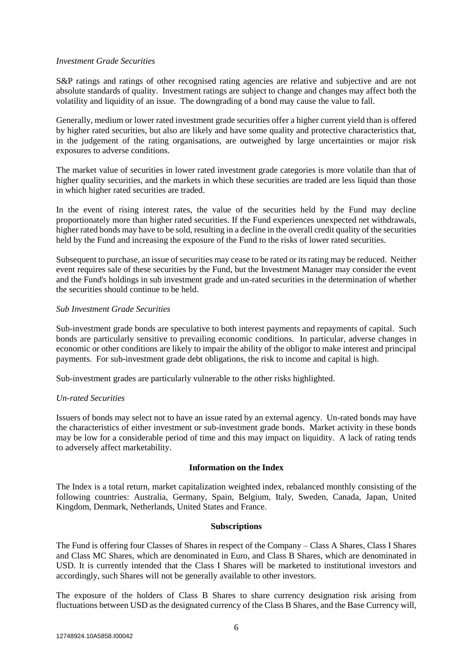## *Investment Grade Securities*

S&P ratings and ratings of other recognised rating agencies are relative and subjective and are not absolute standards of quality. Investment ratings are subject to change and changes may affect both the volatility and liquidity of an issue. The downgrading of a bond may cause the value to fall.

Generally, medium or lower rated investment grade securities offer a higher current yield than is offered by higher rated securities, but also are likely and have some quality and protective characteristics that, in the judgement of the rating organisations, are outweighed by large uncertainties or major risk exposures to adverse conditions.

The market value of securities in lower rated investment grade categories is more volatile than that of higher quality securities, and the markets in which these securities are traded are less liquid than those in which higher rated securities are traded.

In the event of rising interest rates, the value of the securities held by the Fund may decline proportionately more than higher rated securities. If the Fund experiences unexpected net withdrawals, higher rated bonds may have to be sold, resulting in a decline in the overall credit quality of the securities held by the Fund and increasing the exposure of the Fund to the risks of lower rated securities.

Subsequent to purchase, an issue of securities may cease to be rated or its rating may be reduced. Neither event requires sale of these securities by the Fund, but the Investment Manager may consider the event and the Fund's holdings in sub investment grade and un-rated securities in the determination of whether the securities should continue to be held.

## *Sub Investment Grade Securities*

Sub-investment grade bonds are speculative to both interest payments and repayments of capital. Such bonds are particularly sensitive to prevailing economic conditions. In particular, adverse changes in economic or other conditions are likely to impair the ability of the obligor to make interest and principal payments. For sub-investment grade debt obligations, the risk to income and capital is high.

Sub-investment grades are particularly vulnerable to the other risks highlighted.

## *Un-rated Securities*

Issuers of bonds may select not to have an issue rated by an external agency. Un-rated bonds may have the characteristics of either investment or sub-investment grade bonds. Market activity in these bonds may be low for a considerable period of time and this may impact on liquidity. A lack of rating tends to adversely affect marketability.

## **Information on the Index**

The Index is a total return, market capitalization weighted index, rebalanced monthly consisting of the following countries: Australia, Germany, Spain, Belgium, Italy, Sweden, Canada, Japan, United Kingdom, Denmark, Netherlands, United States and France.

## **Subscriptions**

The Fund is offering four Classes of Shares in respect of the Company – Class A Shares, Class I Shares and Class MC Shares, which are denominated in Euro, and Class B Shares, which are denominated in USD. It is currently intended that the Class I Shares will be marketed to institutional investors and accordingly, such Shares will not be generally available to other investors.

The exposure of the holders of Class B Shares to share currency designation risk arising from fluctuations between USD as the designated currency of the Class B Shares, and the Base Currency will,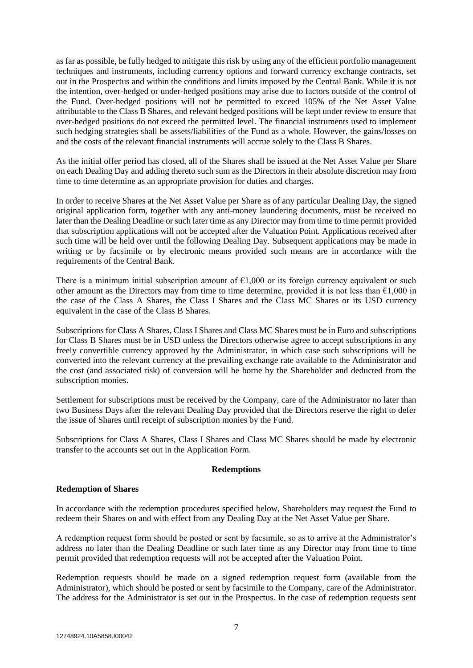as far as possible, be fully hedged to mitigate this risk by using any of the efficient portfolio management techniques and instruments, including currency options and forward currency exchange contracts, set out in the Prospectus and within the conditions and limits imposed by the Central Bank. While it is not the intention, over-hedged or under-hedged positions may arise due to factors outside of the control of the Fund. Over-hedged positions will not be permitted to exceed 105% of the Net Asset Value attributable to the Class B Shares, and relevant hedged positions will be kept under review to ensure that over-hedged positions do not exceed the permitted level. The financial instruments used to implement such hedging strategies shall be assets/liabilities of the Fund as a whole. However, the gains/losses on and the costs of the relevant financial instruments will accrue solely to the Class B Shares.

As the initial offer period has closed, all of the Shares shall be issued at the Net Asset Value per Share on each Dealing Day and adding thereto such sum as the Directors in their absolute discretion may from time to time determine as an appropriate provision for duties and charges.

In order to receive Shares at the Net Asset Value per Share as of any particular Dealing Day, the signed original application form, together with any anti-money laundering documents, must be received no later than the Dealing Deadline or such later time as any Director may from time to time permit provided that subscription applications will not be accepted after the Valuation Point. Applications received after such time will be held over until the following Dealing Day. Subsequent applications may be made in writing or by facsimile or by electronic means provided such means are in accordance with the requirements of the Central Bank.

There is a minimum initial subscription amount of  $\epsilon$ 1,000 or its foreign currency equivalent or such other amount as the Directors may from time to time determine, provided it is not less than  $\epsilon$ 1,000 in the case of the Class A Shares, the Class I Shares and the Class MC Shares or its USD currency equivalent in the case of the Class B Shares.

Subscriptions for Class A Shares, Class I Shares and Class MC Shares must be in Euro and subscriptions for Class B Shares must be in USD unless the Directors otherwise agree to accept subscriptions in any freely convertible currency approved by the Administrator, in which case such subscriptions will be converted into the relevant currency at the prevailing exchange rate available to the Administrator and the cost (and associated risk) of conversion will be borne by the Shareholder and deducted from the subscription monies.

Settlement for subscriptions must be received by the Company, care of the Administrator no later than two Business Days after the relevant Dealing Day provided that the Directors reserve the right to defer the issue of Shares until receipt of subscription monies by the Fund.

Subscriptions for Class A Shares, Class I Shares and Class MC Shares should be made by electronic transfer to the accounts set out in the Application Form.

## **Redemptions**

## **Redemption of Shares**

In accordance with the redemption procedures specified below, Shareholders may request the Fund to redeem their Shares on and with effect from any Dealing Day at the Net Asset Value per Share.

A redemption request form should be posted or sent by facsimile, so as to arrive at the Administrator's address no later than the Dealing Deadline or such later time as any Director may from time to time permit provided that redemption requests will not be accepted after the Valuation Point.

Redemption requests should be made on a signed redemption request form (available from the Administrator), which should be posted or sent by facsimile to the Company, care of the Administrator. The address for the Administrator is set out in the Prospectus. In the case of redemption requests sent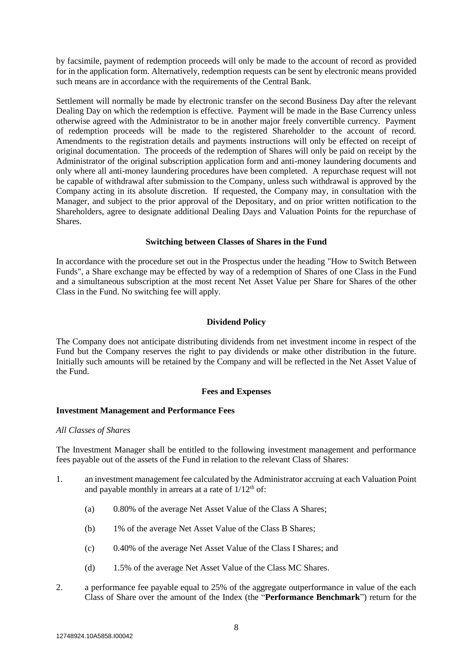by facsimile, payment of redemption proceeds will only be made to the account of record as provided for in the application form. Alternatively, redemption requests can be sent by electronic means provided such means are in accordance with the requirements of the Central Bank.

Settlement will normally be made by electronic transfer on the second Business Day after the relevant Dealing Day on which the redemption is effective. Payment will be made in the Base Currency unless otherwise agreed with the Administrator to be in another major freely convertible currency. Payment of redemption proceeds will be made to the registered Shareholder to the account of record. Amendments to the registration details and payments instructions will only be effected on receipt of original documentation. The proceeds of the redemption of Shares will only be paid on receipt by the Administrator of the original subscription application form and anti-money laundering documents and only where all anti-money laundering procedures have been completed. A repurchase request will not be capable of withdrawal after submission to the Company, unless such withdrawal is approved by the Company acting in its absolute discretion. If requested, the Company may, in consultation with the Manager, and subject to the prior approval of the Depositary, and on prior written notification to the Shareholders, agree to designate additional Dealing Days and Valuation Points for the repurchase of Shares.

## **Switching between Classes of Shares in the Fund**

In accordance with the procedure set out in the Prospectus under the heading "How to Switch Between Funds", a Share exchange may be effected by way of a redemption of Shares of one Class in the Fund and a simultaneous subscription at the most recent Net Asset Value per Share for Shares of the other Class in the Fund. No switching fee will apply.

## **Dividend Policy**

The Company does not anticipate distributing dividends from net investment income in respect of the Fund but the Company reserves the right to pay dividends or make other distribution in the future. Initially such amounts will be retained by the Company and will be reflected in the Net Asset Value of the Fund.

## **Fees and Expenses**

## **Investment Management and Performance Fees**

#### *All Classes of Shares*

The Investment Manager shall be entitled to the following investment management and performance fees payable out of the assets of the Fund in relation to the relevant Class of Shares:

- 1. an investment management fee calculated by the Administrator accruing at each Valuation Point and payable monthly in arrears at a rate of  $1/12<sup>th</sup>$  of:
	- (a) 0.80% of the average Net Asset Value of the Class A Shares;
	- (b) 1% of the average Net Asset Value of the Class B Shares;
	- (c) 0.40% of the average Net Asset Value of the Class I Shares; and
	- (d) 1.5% of the average Net Asset Value of the Class MC Shares.
- 2. a performance fee payable equal to 25% of the aggregate outperformance in value of the each Class of Share over the amount of the Index (the "**Performance Benchmark**") return for the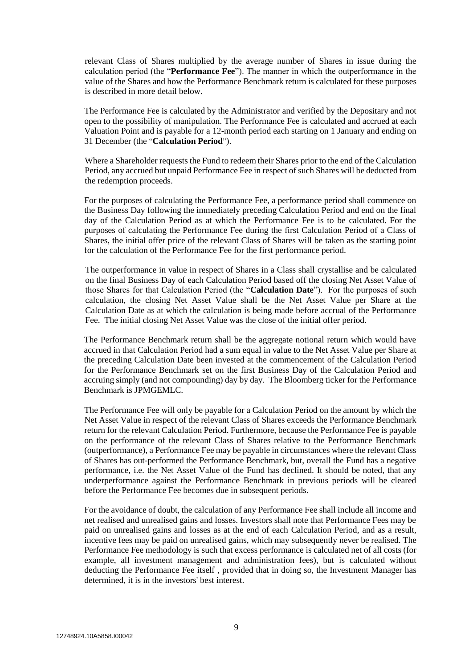relevant Class of Shares multiplied by the average number of Shares in issue during the calculation period (the "**Performance Fee**"). The manner in which the outperformance in the value of the Shares and how the Performance Benchmark return is calculated for these purposes is described in more detail below.

The Performance Fee is calculated by the Administrator and verified by the Depositary and not open to the possibility of manipulation. The Performance Fee is calculated and accrued at each Valuation Point and is payable for a 12-month period each starting on 1 January and ending on 31 December (the "**Calculation Period**").

Where a Shareholder requests the Fund to redeem their Shares prior to the end of the Calculation Period, any accrued but unpaid Performance Fee in respect of such Shares will be deducted from the redemption proceeds.

For the purposes of calculating the Performance Fee, a performance period shall commence on the Business Day following the immediately preceding Calculation Period and end on the final day of the Calculation Period as at which the Performance Fee is to be calculated. For the purposes of calculating the Performance Fee during the first Calculation Period of a Class of Shares, the initial offer price of the relevant Class of Shares will be taken as the starting point for the calculation of the Performance Fee for the first performance period.

The outperformance in value in respect of Shares in a Class shall crystallise and be calculated on the final Business Day of each Calculation Period based off the closing Net Asset Value of those Shares for that Calculation Period (the "**Calculation Date**"). For the purposes of such calculation, the closing Net Asset Value shall be the Net Asset Value per Share at the Calculation Date as at which the calculation is being made before accrual of the Performance Fee. The initial closing Net Asset Value was the close of the initial offer period.

The Performance Benchmark return shall be the aggregate notional return which would have accrued in that Calculation Period had a sum equal in value to the Net Asset Value per Share at the preceding Calculation Date been invested at the commencement of the Calculation Period for the Performance Benchmark set on the first Business Day of the Calculation Period and accruing simply (and not compounding) day by day. The Bloomberg ticker for the Performance Benchmark is JPMGEMLC.

The Performance Fee will only be payable for a Calculation Period on the amount by which the Net Asset Value in respect of the relevant Class of Shares exceeds the Performance Benchmark return for the relevant Calculation Period. Furthermore, because the Performance Fee is payable on the performance of the relevant Class of Shares relative to the Performance Benchmark (outperformance), a Performance Fee may be payable in circumstances where the relevant Class of Shares has out-performed the Performance Benchmark, but, overall the Fund has a negative performance, i.e. the Net Asset Value of the Fund has declined. It should be noted, that any underperformance against the Performance Benchmark in previous periods will be cleared before the Performance Fee becomes due in subsequent periods.

For the avoidance of doubt, the calculation of any Performance Fee shall include all income and net realised and unrealised gains and losses. Investors shall note that Performance Fees may be paid on unrealised gains and losses as at the end of each Calculation Period, and as a result, incentive fees may be paid on unrealised gains, which may subsequently never be realised. The Performance Fee methodology is such that excess performance is calculated net of all costs (for example, all investment management and administration fees), but is calculated without deducting the Performance Fee itself , provided that in doing so, the Investment Manager has determined, it is in the investors' best interest.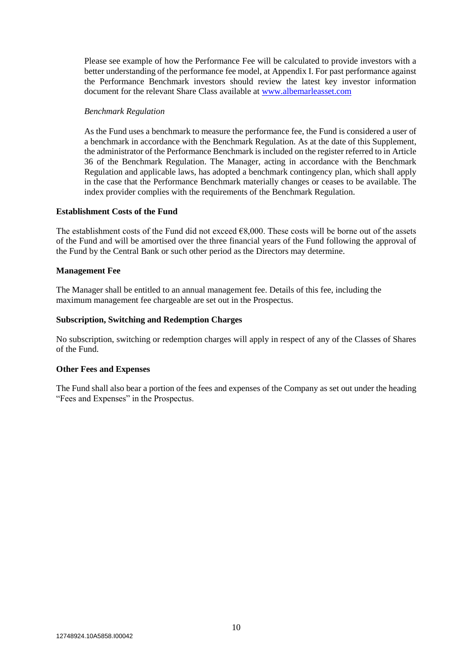Please see example of how the Performance Fee will be calculated to provide investors with a better understanding of the performance fee model, at Appendix I. For past performance against the Performance Benchmark investors should review the latest key investor information document for the relevant Share Class available at [www.albemarleasset.com](http://www.albemarleasset.com/)

## *Benchmark Regulation*

As the Fund uses a benchmark to measure the performance fee, the Fund is considered a user of a benchmark in accordance with the Benchmark Regulation. As at the date of this Supplement, the administrator of the Performance Benchmark is included on the register referred to in Article 36 of the Benchmark Regulation. The Manager, acting in accordance with the Benchmark Regulation and applicable laws, has adopted a benchmark contingency plan, which shall apply in the case that the Performance Benchmark materially changes or ceases to be available. The index provider complies with the requirements of the Benchmark Regulation.

## **Establishment Costs of the Fund**

The establishment costs of the Fund did not exceed  $68,000$ . These costs will be borne out of the assets of the Fund and will be amortised over the three financial years of the Fund following the approval of the Fund by the Central Bank or such other period as the Directors may determine.

## **Management Fee**

The Manager shall be entitled to an annual management fee. Details of this fee, including the maximum management fee chargeable are set out in the Prospectus.

## **Subscription, Switching and Redemption Charges**

No subscription, switching or redemption charges will apply in respect of any of the Classes of Shares of the Fund.

## **Other Fees and Expenses**

The Fund shall also bear a portion of the fees and expenses of the Company as set out under the heading "Fees and Expenses" in the Prospectus.